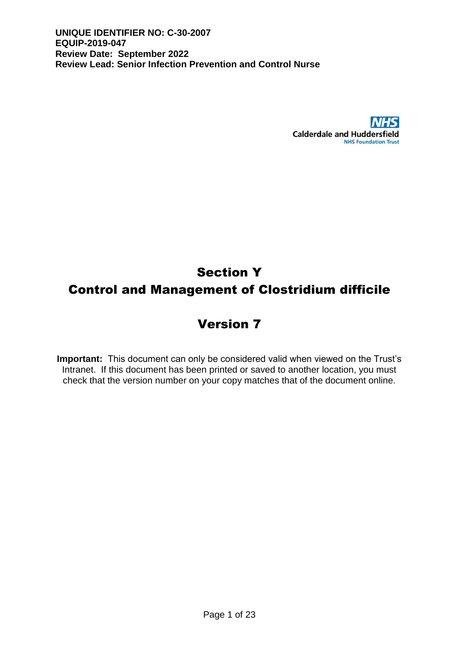

# Section Y Control and Management of Clostridium difficile

## Version 7

**Important:** This document can only be considered valid when viewed on the Trust's Intranet. If this document has been printed or saved to another location, you must check that the version number on your copy matches that of the document online.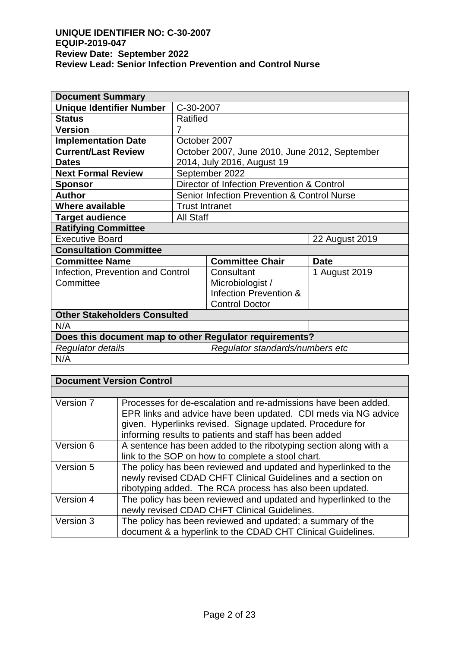| <b>Document Summary</b>                                 |                       |                                               |                |  |
|---------------------------------------------------------|-----------------------|-----------------------------------------------|----------------|--|
| <b>Unique Identifier Number</b>                         | C-30-2007             |                                               |                |  |
| <b>Status</b>                                           | Ratified              |                                               |                |  |
| <b>Version</b>                                          | 7                     |                                               |                |  |
| <b>Implementation Date</b>                              | October 2007          |                                               |                |  |
| <b>Current/Last Review</b>                              |                       | October 2007, June 2010, June 2012, September |                |  |
| <b>Dates</b>                                            |                       | 2014, July 2016, August 19                    |                |  |
| <b>Next Formal Review</b>                               |                       | September 2022                                |                |  |
| <b>Sponsor</b>                                          |                       | Director of Infection Prevention & Control    |                |  |
| <b>Author</b>                                           |                       | Senior Infection Prevention & Control Nurse   |                |  |
| <b>Where available</b>                                  | <b>Trust Intranet</b> |                                               |                |  |
| <b>Target audience</b>                                  | <b>All Staff</b>      |                                               |                |  |
| <b>Ratifying Committee</b>                              |                       |                                               |                |  |
| <b>Executive Board</b>                                  |                       |                                               | 22 August 2019 |  |
| <b>Consultation Committee</b>                           |                       |                                               |                |  |
| <b>Committee Name</b>                                   |                       | <b>Committee Chair</b>                        | <b>Date</b>    |  |
| Infection, Prevention and Control                       |                       | Consultant<br>1 August 2019                   |                |  |
| Committee                                               |                       | Microbiologist /                              |                |  |
|                                                         |                       | Infection Prevention &                        |                |  |
|                                                         |                       | <b>Control Doctor</b>                         |                |  |
| <b>Other Stakeholders Consulted</b>                     |                       |                                               |                |  |
| N/A                                                     |                       |                                               |                |  |
| Does this document map to other Regulator requirements? |                       |                                               |                |  |
| Regulator details                                       |                       | Regulator standards/numbers etc               |                |  |
| N/A                                                     |                       |                                               |                |  |

| <b>Document Version Control</b> |                                                                                                                                                                                                                                                         |
|---------------------------------|---------------------------------------------------------------------------------------------------------------------------------------------------------------------------------------------------------------------------------------------------------|
|                                 |                                                                                                                                                                                                                                                         |
| Version 7                       | Processes for de-escalation and re-admissions have been added.<br>EPR links and advice have been updated. CDI meds via NG advice<br>given. Hyperlinks revised. Signage updated. Procedure for<br>informing results to patients and staff has been added |
| Version 6                       | A sentence has been added to the ribotyping section along with a<br>link to the SOP on how to complete a stool chart.                                                                                                                                   |
| Version 5                       | The policy has been reviewed and updated and hyperlinked to the<br>newly revised CDAD CHFT Clinical Guidelines and a section on<br>ribotyping added. The RCA process has also been updated.                                                             |
| Version 4                       | The policy has been reviewed and updated and hyperlinked to the<br>newly revised CDAD CHFT Clinical Guidelines.                                                                                                                                         |
| Version 3                       | The policy has been reviewed and updated; a summary of the<br>document & a hyperlink to the CDAD CHT Clinical Guidelines.                                                                                                                               |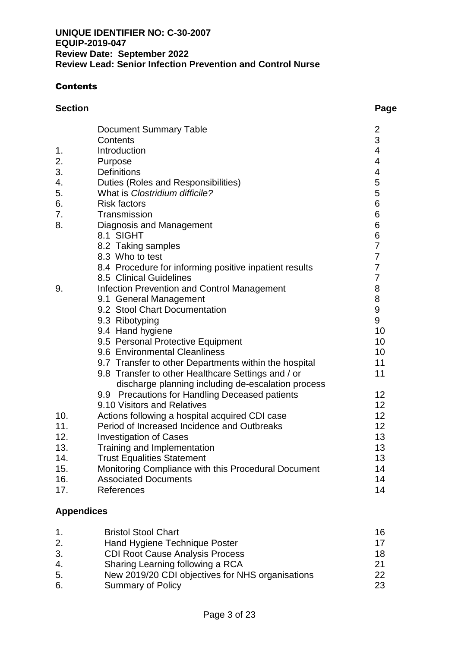#### **Contents**

| <b>Section</b> |                                                        | Page                     |
|----------------|--------------------------------------------------------|--------------------------|
|                | <b>Document Summary Table</b>                          |                          |
|                | Contents                                               | $\frac{2}{3}$            |
| 1.             | Introduction                                           | $\overline{\mathcal{A}}$ |
| 2.             | Purpose                                                | $\overline{\mathcal{A}}$ |
| 3.             | <b>Definitions</b>                                     | $\overline{\mathcal{A}}$ |
| 4.             | Duties (Roles and Responsibilities)                    | 5                        |
| 5.             | What is Clostridium difficile?                         | 5                        |
| 6.             | <b>Risk factors</b>                                    | 6                        |
| 7.             | Transmission                                           | 6                        |
| 8.             | Diagnosis and Management                               | 6                        |
|                | 8.1 SIGHT                                              | 6                        |
|                | 8.2 Taking samples                                     | $\overline{7}$           |
|                | 8.3 Who to test                                        | $\overline{7}$           |
|                | 8.4 Procedure for informing positive inpatient results | $\overline{7}$           |
|                | 8.5 Clinical Guidelines                                | $\overline{7}$           |
| 9.             | Infection Prevention and Control Management            | 8                        |
|                | 9.1 General Management                                 | 8                        |
|                | 9.2 Stool Chart Documentation                          | 9                        |
|                | 9.3 Ribotyping                                         | 9                        |
|                | 9.4 Hand hygiene                                       | 10                       |
|                | 9.5 Personal Protective Equipment                      | 10                       |
|                | 9.6 Environmental Cleanliness                          | 10                       |
|                | 9.7 Transfer to other Departments within the hospital  | 11                       |
|                | 9.8 Transfer to other Healthcare Settings and / or     | 11                       |
|                | discharge planning including de-escalation process     |                          |
|                | 9.9 Precautions for Handling Deceased patients         | 12                       |
|                | 9.10 Visitors and Relatives                            | 12                       |
| 10.            | Actions following a hospital acquired CDI case         | 12                       |
| 11.            | Period of Increased Incidence and Outbreaks            | 12                       |
| 12.            | <b>Investigation of Cases</b>                          | 13                       |
| 13.            | Training and Implementation                            | 13                       |
| 14.            | <b>Trust Equalities Statement</b>                      | 13                       |
| 15.            | Monitoring Compliance with this Procedural Document    | 14                       |
| 16.            | <b>Associated Documents</b>                            | 14                       |

17. References 14

## **Appendices**

| $\mathbf 1$ .  | <b>Bristol Stool Chart</b>                       | 16  |
|----------------|--------------------------------------------------|-----|
| 2.             | Hand Hygiene Technique Poster                    | 17  |
| 3.             | <b>CDI Root Cause Analysis Process</b>           | 18  |
| 4.             | Sharing Learning following a RCA                 | 21  |
| 5.             | New 2019/20 CDI objectives for NHS organisations | 22. |
| 6 <sub>1</sub> | <b>Summary of Policy</b>                         | 23. |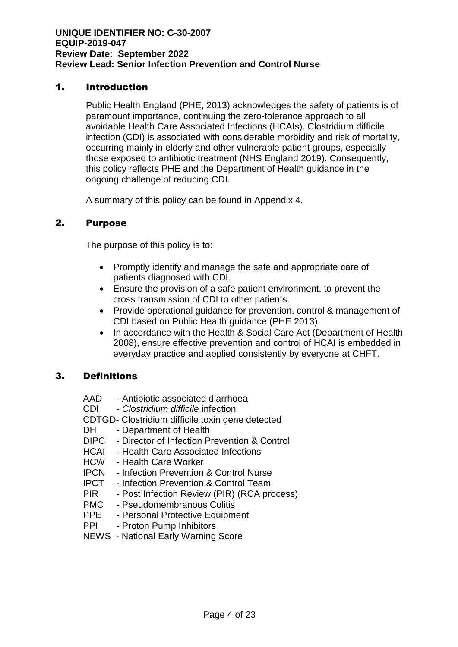#### 1. Introduction

Public Health England (PHE, 2013) acknowledges the safety of patients is of paramount importance, continuing the zero-tolerance approach to all avoidable Health Care Associated Infections (HCAIs). Clostridium difficile infection (CDI) is associated with considerable morbidity and risk of mortality, occurring mainly in elderly and other vulnerable patient groups, especially those exposed to antibiotic treatment (NHS England 2019). Consequently, this policy reflects PHE and the Department of Health guidance in the ongoing challenge of reducing CDI.

A summary of this policy can be found in Appendix 4.

#### 2. Purpose

The purpose of this policy is to:

- Promptly identify and manage the safe and appropriate care of patients diagnosed with CDI.
- Ensure the provision of a safe patient environment, to prevent the cross transmission of CDI to other patients.
- Provide operational guidance for prevention, control & management of CDI based on Public Health guidance (PHE 2013).
- In accordance with the Health & Social Care Act (Department of Health 2008), ensure effective prevention and control of HCAI is embedded in everyday practice and applied consistently by everyone at CHFT.

## 3. Definitions

- AAD Antibiotic associated diarrhoea
- CDI *Clostridium difficile* infection
- CDTGD- Clostridium difficile toxin gene detected
- DH Department of Health
- DIPC Director of Infection Prevention & Control
- HCAI Health Care Associated Infections
- HCW Health Care Worker
- IPCN Infection Prevention & Control Nurse
- IPCT Infection Prevention & Control Team
- PIR Post Infection Review (PIR) (RCA process)
- PMC Pseudomembranous Colitis
- PPE Personal Protective Equipment
- PPI Proton Pump Inhibitors
- NEWS National Early Warning Score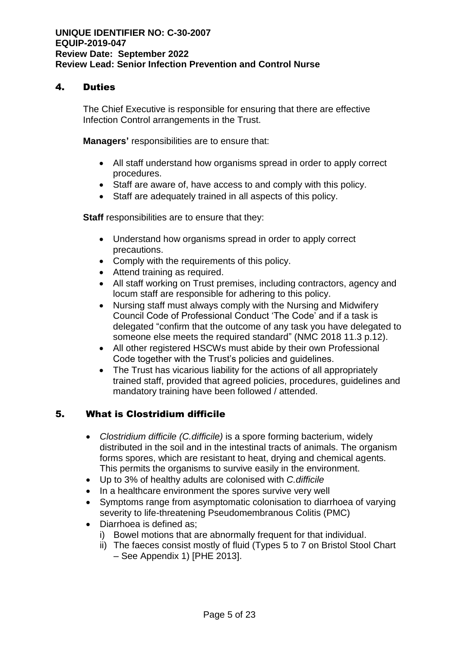#### 4. Duties

The Chief Executive is responsible for ensuring that there are effective Infection Control arrangements in the Trust.

**Managers'** responsibilities are to ensure that:

- All staff understand how organisms spread in order to apply correct procedures.
- Staff are aware of, have access to and comply with this policy.
- Staff are adequately trained in all aspects of this policy.

**Staff** responsibilities are to ensure that they:

- Understand how organisms spread in order to apply correct precautions.
- Comply with the requirements of this policy.
- Attend training as required.
- All staff working on Trust premises, including contractors, agency and locum staff are responsible for adhering to this policy.
- Nursing staff must always comply with the Nursing and Midwifery Council Code of Professional Conduct 'The Code' and if a task is delegated "confirm that the outcome of any task you have delegated to someone else meets the required standard" (NMC 2018 11.3 p.12).
- All other registered HSCWs must abide by their own Professional Code together with the Trust's policies and quidelines.
- The Trust has vicarious liability for the actions of all appropriately trained staff, provided that agreed policies, procedures, guidelines and mandatory training have been followed / attended.

## 5. What is Clostridium difficile

- *Clostridium difficile (C.difficile)* is a spore forming bacterium, widely distributed in the soil and in the intestinal tracts of animals. The organism forms spores, which are resistant to heat, drying and chemical agents. This permits the organisms to survive easily in the environment.
- Up to 3% of healthy adults are colonised with *C.difficile*
- In a healthcare environment the spores survive very well
- Symptoms range from asymptomatic colonisation to diarrhoea of varying severity to life-threatening Pseudomembranous Colitis (PMC)
- Diarrhoea is defined as;
	- i) Bowel motions that are abnormally frequent for that individual.
	- ii) The faeces consist mostly of fluid (Types 5 to 7 on Bristol Stool Chart – See Appendix 1) [PHE 2013].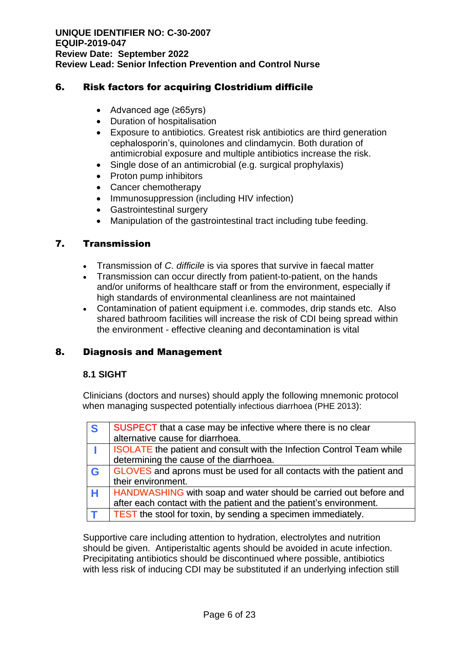### 6. Risk factors for acquiring Clostridium difficile

- Advanced age (≥65yrs)
- Duration of hospitalisation
- Exposure to antibiotics. Greatest risk antibiotics are third generation cephalosporin's, quinolones and clindamycin. Both duration of antimicrobial exposure and multiple antibiotics increase the risk.
- Single dose of an antimicrobial (e.g. surgical prophylaxis)
- Proton pump inhibitors
- Cancer chemotherapy
- Immunosuppression (including HIV infection)
- Gastrointestinal surgery
- Manipulation of the gastrointestinal tract including tube feeding.

#### 7. Transmission

- Transmission of *C. difficile* is via spores that survive in faecal matter
- Transmission can occur directly from patient-to-patient, on the hands and/or uniforms of healthcare staff or from the environment, especially if high standards of environmental cleanliness are not maintained
- Contamination of patient equipment i.e. commodes, drip stands etc. Also shared bathroom facilities will increase the risk of CDI being spread within the environment - effective cleaning and decontamination is vital

## 8. Diagnosis and Management

#### **8.1 SIGHT**

Clinicians (doctors and nurses) should apply the following mnemonic protocol when managing suspected potentially infectious diarrhoea (PHE 2013):

| <b>S</b> | SUSPECT that a case may be infective where there is no clear                 |
|----------|------------------------------------------------------------------------------|
|          | alternative cause for diarrhoea.                                             |
|          | <b>ISOLATE</b> the patient and consult with the Infection Control Team while |
|          | determining the cause of the diarrhoea.                                      |
| <b>G</b> | GLOVES and aprons must be used for all contacts with the patient and         |
|          | their environment.                                                           |
| H        | HANDWASHING with soap and water should be carried out before and             |
|          | after each contact with the patient and the patient's environment.           |
|          | <b>TEST</b> the stool for toxin, by sending a specimen immediately.          |

Supportive care including attention to hydration, electrolytes and nutrition should be given. Antiperistaltic agents should be avoided in acute infection. Precipitating antibiotics should be discontinued where possible, antibiotics with less risk of inducing CDI may be substituted if an underlying infection still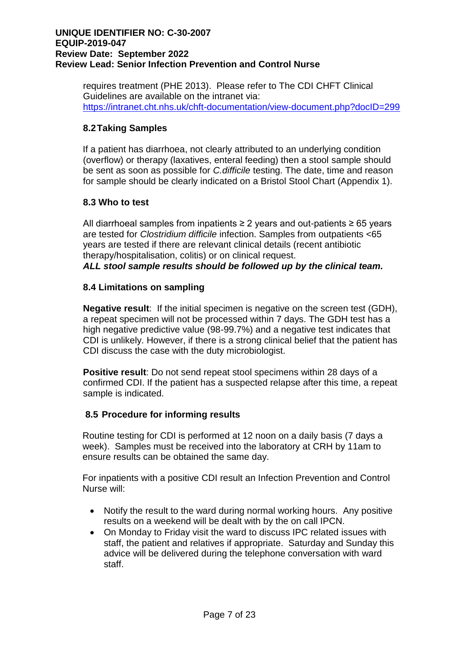requires treatment (PHE 2013). Please refer to The CDI CHFT Clinical Guidelines are available on the intranet via: <https://intranet.cht.nhs.uk/chft-documentation/view-document.php?docID=299>

## **8.2Taking Samples**

If a patient has diarrhoea, not clearly attributed to an underlying condition (overflow) or therapy (laxatives, enteral feeding) then a stool sample should be sent as soon as possible for *C.difficile* testing. The date, time and reason for sample should be clearly indicated on a Bristol Stool Chart (Appendix 1).

#### **8.3 Who to test**

All diarrhoeal samples from inpatients  $\geq 2$  years and out-patients  $\geq 65$  years are tested for *Clostridium difficile* infection. Samples from outpatients <65 years are tested if there are relevant clinical details (recent antibiotic therapy/hospitalisation, colitis) or on clinical request. *ALL stool sample results should be followed up by the clinical team.*

#### **8.4 Limitations on sampling**

**Negative result**: If the initial specimen is negative on the screen test (GDH), a repeat specimen will not be processed within 7 days. The GDH test has a high negative predictive value (98-99.7%) and a negative test indicates that CDI is unlikely. However, if there is a strong clinical belief that the patient has CDI discuss the case with the duty microbiologist.

**Positive result**: Do not send repeat stool specimens within 28 days of a confirmed CDI. If the patient has a suspected relapse after this time, a repeat sample is indicated.

## **8.5 Procedure for informing results**

Routine testing for CDI is performed at 12 noon on a daily basis (7 days a week). Samples must be received into the laboratory at CRH by 11am to ensure results can be obtained the same day.

For inpatients with a positive CDI result an Infection Prevention and Control Nurse will:

- Notify the result to the ward during normal working hours. Any positive results on a weekend will be dealt with by the on call IPCN.
- On Monday to Friday visit the ward to discuss IPC related issues with staff, the patient and relatives if appropriate. Saturday and Sunday this advice will be delivered during the telephone conversation with ward staff.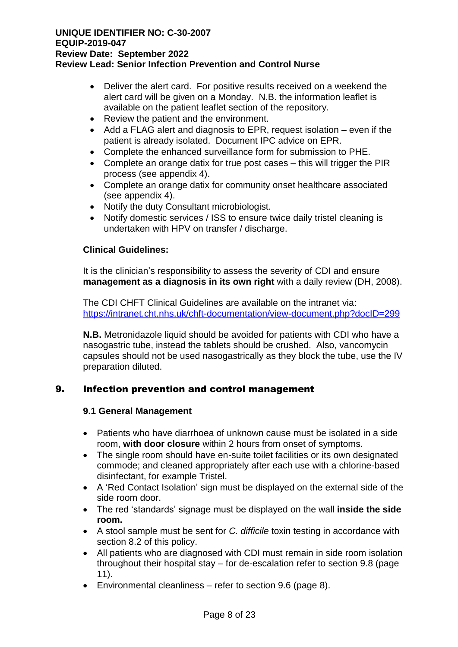- Deliver the alert card. For positive results received on a weekend the alert card will be given on a Monday. N.B. the information leaflet is available on the patient leaflet section of the repository.
- Review the patient and the environment.
- Add a FLAG alert and diagnosis to EPR, request isolation even if the patient is already isolated. Document IPC advice on EPR.
- Complete the enhanced surveillance form for submission to PHE.
- Complete an orange datix for true post cases this will trigger the PIR process (see appendix 4).
- Complete an orange datix for community onset healthcare associated (see appendix 4).
- Notify the duty Consultant microbiologist.
- Notify domestic services / ISS to ensure twice daily tristel cleaning is undertaken with HPV on transfer / discharge.

#### **Clinical Guidelines:**

It is the clinician's responsibility to assess the severity of CDI and ensure **management as a diagnosis in its own right** with a daily review (DH, 2008).

The CDI CHFT Clinical Guidelines are available on the intranet via: <https://intranet.cht.nhs.uk/chft-documentation/view-document.php?docID=299>

**N.B.** Metronidazole liquid should be avoided for patients with CDI who have a nasogastric tube, instead the tablets should be crushed. Also, vancomycin capsules should not be used nasogastrically as they block the tube, use the IV preparation diluted.

#### 9. Infection prevention and control management

#### **9.1 General Management**

- Patients who have diarrhoea of unknown cause must be isolated in a side room, **with door closure** within 2 hours from onset of symptoms.
- The single room should have en-suite toilet facilities or its own designated commode; and cleaned appropriately after each use with a chlorine-based disinfectant, for example Tristel.
- A 'Red Contact Isolation' sign must be displayed on the external side of the side room door.
- The red 'standards' signage must be displayed on the wall **inside the side room.**
- A stool sample must be sent for *C. difficile* toxin testing in accordance with section 8.2 of this policy.
- All patients who are diagnosed with CDI must remain in side room isolation throughout their hospital stay – for de-escalation refer to section 9.8 (page 11).
- Environmental cleanliness refer to section 9.6 (page 8).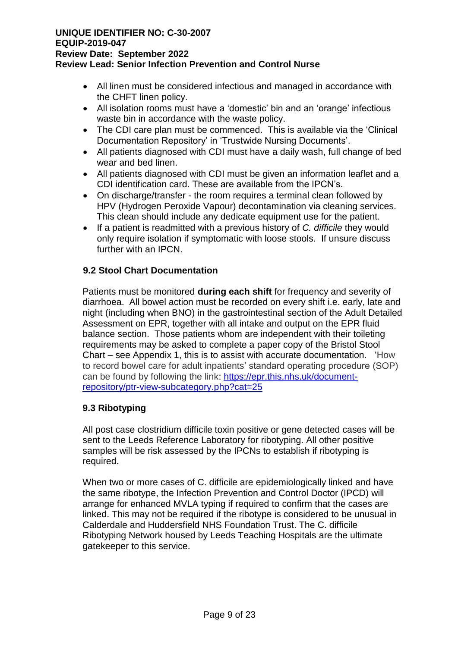- All linen must be considered infectious and managed in accordance with the CHFT linen policy.
- All isolation rooms must have a 'domestic' bin and an 'orange' infectious waste bin in accordance with the waste policy.
- The CDI care plan must be commenced. This is available via the 'Clinical Documentation Repository' in 'Trustwide Nursing Documents'.
- All patients diagnosed with CDI must have a daily wash, full change of bed wear and bed linen.
- All patients diagnosed with CDI must be given an information leaflet and a CDI identification card. These are available from the IPCN's.
- On discharge/transfer the room requires a terminal clean followed by HPV (Hydrogen Peroxide Vapour) decontamination via cleaning services. This clean should include any dedicate equipment use for the patient.
- If a patient is readmitted with a previous history of *C. difficile* they would only require isolation if symptomatic with loose stools. If unsure discuss further with an IPCN.

## **9.2 Stool Chart Documentation**

Patients must be monitored **during each shift** for frequency and severity of diarrhoea. All bowel action must be recorded on every shift i.e. early, late and night (including when BNO) in the gastrointestinal section of the Adult Detailed Assessment on EPR, together with all intake and output on the EPR fluid balance section. Those patients whom are independent with their toileting requirements may be asked to complete a paper copy of the Bristol Stool Chart – see Appendix 1, this is to assist with accurate documentation. 'How to record bowel care for adult inpatients' standard operating procedure (SOP) can be found by following the link: [https://epr.this.nhs.uk/document](https://epr.this.nhs.uk/document-repository/ptr-view-subcategory.php?cat=25)[repository/ptr-view-subcategory.php?cat=25](https://epr.this.nhs.uk/document-repository/ptr-view-subcategory.php?cat=25)

## **9.3 Ribotyping**

All post case clostridium difficile toxin positive or gene detected cases will be sent to the Leeds Reference Laboratory for ribotyping. All other positive samples will be risk assessed by the IPCNs to establish if ribotyping is required.

When two or more cases of C. difficile are epidemiologically linked and have the same ribotype, the Infection Prevention and Control Doctor (IPCD) will arrange for enhanced MVLA typing if required to confirm that the cases are linked. This may not be required if the ribotype is considered to be unusual in Calderdale and Huddersfield NHS Foundation Trust. The C. difficile Ribotyping Network housed by Leeds Teaching Hospitals are the ultimate gatekeeper to this service.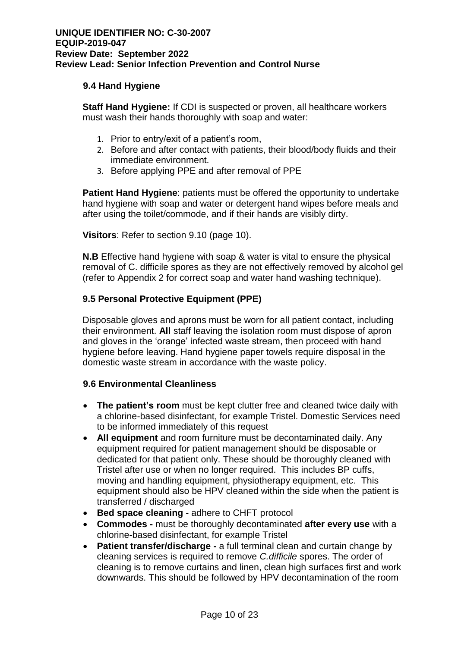#### **9.4 Hand Hygiene**

**Staff Hand Hygiene:** If CDI is suspected or proven, all healthcare workers must wash their hands thoroughly with soap and water:

- 1. Prior to entry/exit of a patient's room,
- 2. Before and after contact with patients, their blood/body fluids and their immediate environment.
- 3. Before applying PPE and after removal of PPE

**Patient Hand Hygiene**: patients must be offered the opportunity to undertake hand hygiene with soap and water or detergent hand wipes before meals and after using the toilet/commode, and if their hands are visibly dirty.

**Visitors**: Refer to section 9.10 (page 10).

**N.B** Effective hand hygiene with soap & water is vital to ensure the physical removal of C. difficile spores as they are not effectively removed by alcohol gel (refer to Appendix 2 for correct soap and water hand washing technique).

#### **9.5 Personal Protective Equipment (PPE)**

Disposable gloves and aprons must be worn for all patient contact, including their environment. **All** staff leaving the isolation room must dispose of apron and gloves in the 'orange' infected waste stream, then proceed with hand hygiene before leaving. Hand hygiene paper towels require disposal in the domestic waste stream in accordance with the waste policy.

#### **9.6 Environmental Cleanliness**

- **The patient's room** must be kept clutter free and cleaned twice daily with a chlorine-based disinfectant, for example Tristel. Domestic Services need to be informed immediately of this request
- **All equipment** and room furniture must be decontaminated daily. Any equipment required for patient management should be disposable or dedicated for that patient only. These should be thoroughly cleaned with Tristel after use or when no longer required. This includes BP cuffs, moving and handling equipment, physiotherapy equipment, etc. This equipment should also be HPV cleaned within the side when the patient is transferred / discharged
- **Bed space cleaning** adhere to CHFT protocol
- **Commodes -** must be thoroughly decontaminated **after every use** with a chlorine-based disinfectant, for example Tristel
- **Patient transfer/discharge -** a full terminal clean and curtain change by cleaning services is required to remove *C.difficile* spores. The order of cleaning is to remove curtains and linen, clean high surfaces first and work downwards. This should be followed by HPV decontamination of the room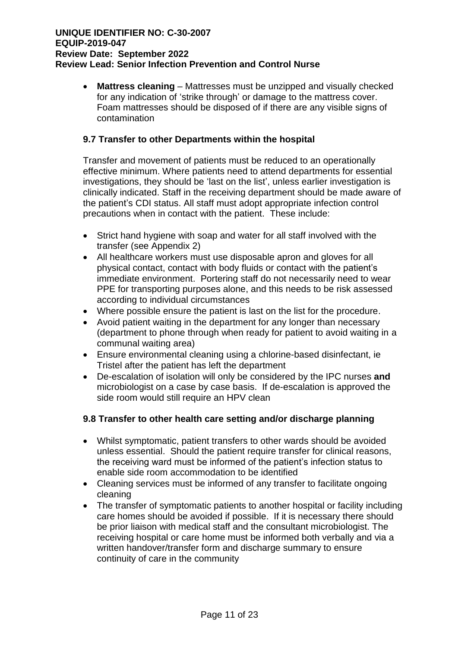• **Mattress cleaning** – Mattresses must be unzipped and visually checked for any indication of 'strike through' or damage to the mattress cover. Foam mattresses should be disposed of if there are any visible signs of contamination

#### **9.7 Transfer to other Departments within the hospital**

Transfer and movement of patients must be reduced to an operationally effective minimum. Where patients need to attend departments for essential investigations, they should be 'last on the list', unless earlier investigation is clinically indicated. Staff in the receiving department should be made aware of the patient's CDI status. All staff must adopt appropriate infection control precautions when in contact with the patient. These include:

- Strict hand hygiene with soap and water for all staff involved with the transfer (see Appendix 2)
- All healthcare workers must use disposable apron and gloves for all physical contact, contact with body fluids or contact with the patient's immediate environment. Portering staff do not necessarily need to wear PPE for transporting purposes alone, and this needs to be risk assessed according to individual circumstances
- Where possible ensure the patient is last on the list for the procedure.
- Avoid patient waiting in the department for any longer than necessary (department to phone through when ready for patient to avoid waiting in a communal waiting area)
- Ensure environmental cleaning using a chlorine-based disinfectant, ie Tristel after the patient has left the department
- De-escalation of isolation will only be considered by the IPC nurses **and** microbiologist on a case by case basis. If de-escalation is approved the side room would still require an HPV clean

#### **9.8 Transfer to other health care setting and/or discharge planning**

- Whilst symptomatic, patient transfers to other wards should be avoided unless essential. Should the patient require transfer for clinical reasons, the receiving ward must be informed of the patient's infection status to enable side room accommodation to be identified
- Cleaning services must be informed of any transfer to facilitate ongoing cleaning
- The transfer of symptomatic patients to another hospital or facility including care homes should be avoided if possible. If it is necessary there should be prior liaison with medical staff and the consultant microbiologist. The receiving hospital or care home must be informed both verbally and via a written handover/transfer form and discharge summary to ensure continuity of care in the community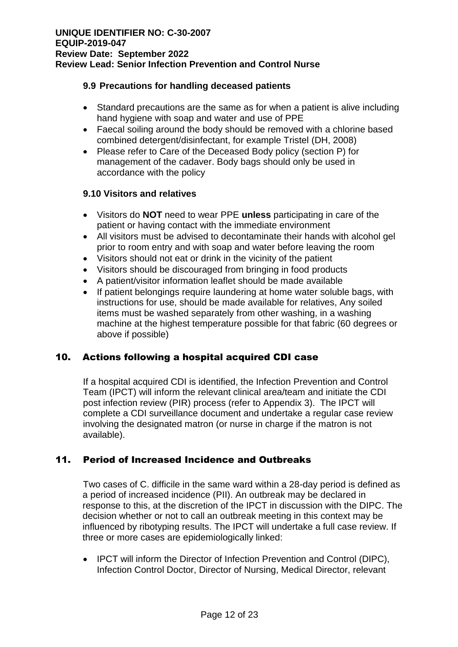#### **9.9 Precautions for handling deceased patients**

- Standard precautions are the same as for when a patient is alive including hand hygiene with soap and water and use of PPE
- Faecal soiling around the body should be removed with a chlorine based combined detergent/disinfectant, for example Tristel (DH, 2008)
- Please refer to Care of the Deceased Body policy (section P) for management of the cadaver. Body bags should only be used in accordance with the policy

#### **9.10 Visitors and relatives**

- Visitors do **NOT** need to wear PPE **unless** participating in care of the patient or having contact with the immediate environment
- All visitors must be advised to decontaminate their hands with alcohol gel prior to room entry and with soap and water before leaving the room
- Visitors should not eat or drink in the vicinity of the patient
- Visitors should be discouraged from bringing in food products
- A patient/visitor information leaflet should be made available
- If patient belongings require laundering at home water soluble bags, with instructions for use, should be made available for relatives, Any soiled items must be washed separately from other washing, in a washing machine at the highest temperature possible for that fabric (60 degrees or above if possible)

## 10. Actions following a hospital acquired CDI case

If a hospital acquired CDI is identified, the Infection Prevention and Control Team (IPCT) will inform the relevant clinical area/team and initiate the CDI post infection review (PIR) process (refer to Appendix 3). The IPCT will complete a CDI surveillance document and undertake a regular case review involving the designated matron (or nurse in charge if the matron is not available).

## 11. Period of Increased Incidence and Outbreaks

Two cases of C. difficile in the same ward within a 28-day period is defined as a period of increased incidence (PII). An outbreak may be declared in response to this, at the discretion of the IPCT in discussion with the DIPC. The decision whether or not to call an outbreak meeting in this context may be influenced by ribotyping results. The IPCT will undertake a full case review. If three or more cases are epidemiologically linked:

• IPCT will inform the Director of Infection Prevention and Control (DIPC), Infection Control Doctor, Director of Nursing, Medical Director, relevant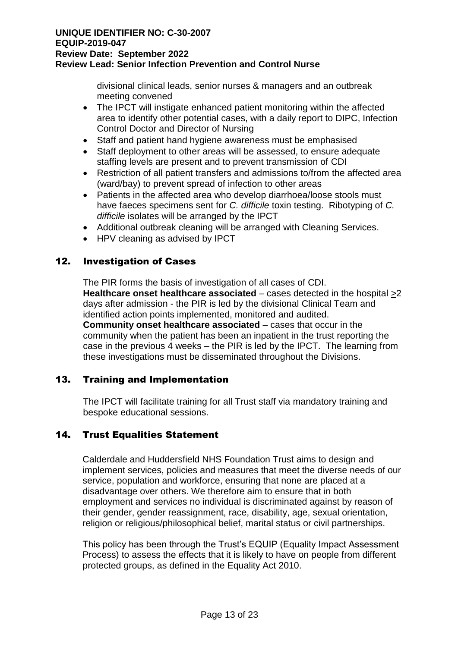divisional clinical leads, senior nurses & managers and an outbreak meeting convened

- The IPCT will instigate enhanced patient monitoring within the affected area to identify other potential cases, with a daily report to DIPC, Infection Control Doctor and Director of Nursing
- Staff and patient hand hygiene awareness must be emphasised
- Staff deployment to other areas will be assessed, to ensure adequate staffing levels are present and to prevent transmission of CDI
- Restriction of all patient transfers and admissions to/from the affected area (ward/bay) to prevent spread of infection to other areas
- Patients in the affected area who develop diarrhoea/loose stools must have faeces specimens sent for *C. difficile* toxin testing. Ribotyping of *C. difficile* isolates will be arranged by the IPCT
- Additional outbreak cleaning will be arranged with Cleaning Services.
- HPV cleaning as advised by IPCT

## 12. Investigation of Cases

The PIR forms the basis of investigation of all cases of CDI. **Healthcare onset healthcare associated** – cases detected in the hospital  $\geq 2$ days after admission - the PIR is led by the divisional Clinical Team and identified action points implemented, monitored and audited. **Community onset healthcare associated** – cases that occur in the community when the patient has been an inpatient in the trust reporting the case in the previous 4 weeks – the PIR is led by the IPCT. The learning from these investigations must be disseminated throughout the Divisions.

## 13. Training and Implementation

The IPCT will facilitate training for all Trust staff via mandatory training and bespoke educational sessions.

## 14. Trust Equalities Statement

Calderdale and Huddersfield NHS Foundation Trust aims to design and implement services, policies and measures that meet the diverse needs of our service, population and workforce, ensuring that none are placed at a disadvantage over others. We therefore aim to ensure that in both employment and services no individual is discriminated against by reason of their gender, gender reassignment, race, disability, age, sexual orientation, religion or religious/philosophical belief, marital status or civil partnerships.

This policy has been through the Trust's EQUIP (Equality Impact Assessment Process) to assess the effects that it is likely to have on people from different protected groups, as defined in the Equality Act 2010.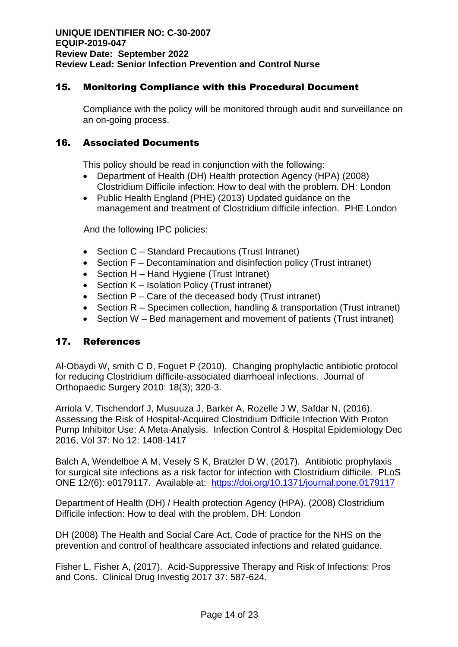### 15. Monitoring Compliance with this Procedural Document

Compliance with the policy will be monitored through audit and surveillance on an on-going process.

#### 16. Associated Documents

This policy should be read in conjunction with the following:

- Department of Health (DH) Health protection Agency (HPA) (2008) Clostridium Difficile infection: How to deal with the problem. DH: London
- Public Health England (PHE) (2013) Updated guidance on the management and treatment of Clostridium difficile infection. PHE London

And the following IPC policies:

- Section C Standard Precautions (Trust Intranet)
- Section F Decontamination and disinfection policy (Trust intranet)
- Section H Hand Hygiene (Trust Intranet)
- Section K Isolation Policy (Trust intranet)
- Section P Care of the deceased body (Trust intranet)
- Section R Specimen collection, handling & transportation (Trust intranet)
- Section W Bed management and movement of patients (Trust intranet)

#### 17. References

Al-Obaydi W, smith C D, Foguet P (2010). Changing prophylactic antibiotic protocol for reducing Clostridium difficile-associated diarrhoeal infections. Journal of Orthopaedic Surgery 2010: 18(3); 320-3.

Arriola V, Tischendorf J, Musuuza J, Barker A, Rozelle J W, Safdar N, (2016). Assessing the Risk of Hospital-Acquired Clostridium Difficile Infection With Proton Pump Inhibitor Use: A Meta-Analysis. Infection Control & Hospital Epidemiology Dec 2016, Vol 37: No 12: 1408-1417

Balch A, Wendelboe A M, Vesely S K, Bratzler D W, (2017). Antibiotic prophylaxis for surgical site infections as a risk factor for infection with Clostridium difficile. PLoS ONE 12/(6): e0179117. Available at: <https://doi.org/10.1371/journal.pone.0179117>

Department of Health (DH) / Health protection Agency (HPA). (2008) Clostridium Difficile infection: How to deal with the problem. DH: London

DH (2008) The Health and Social Care Act, Code of practice for the NHS on the prevention and control of healthcare associated infections and related guidance.

Fisher L, Fisher A, (2017). Acid-Suppressive Therapy and Risk of Infections: Pros and Cons. Clinical Drug Investig 2017 37: 587-624.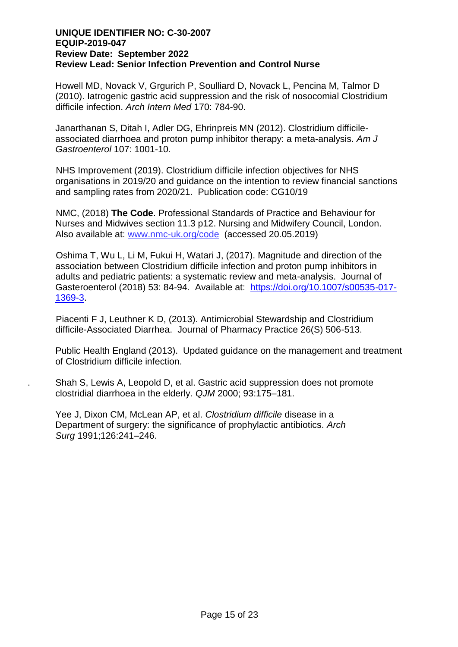Howell MD, Novack V, Grgurich P, Soulliard D, Novack L, Pencina M, Talmor D (2010). Iatrogenic gastric acid suppression and the risk of nosocomial Clostridium difficile infection. *Arch Intern Med* 170: 784-90.

Janarthanan S, Ditah I, Adler DG, Ehrinpreis MN (2012). Clostridium difficileassociated diarrhoea and proton pump inhibitor therapy: a meta-analysis. *Am J Gastroenterol* 107: 1001-10.

NHS Improvement (2019). Clostridium difficile infection objectives for NHS organisations in 2019/20 and guidance on the intention to review financial sanctions and sampling rates from 2020/21. Publication code: CG10/19

NMC, (2018) **The Code**. Professional Standards of Practice and Behaviour for Nurses and Midwives section 11.3 p12. Nursing and Midwifery Council, London. Also available at: [www.nmc-uk.org/code](http://www.nmc-uk.org/code) (accessed 20.05.2019)

Oshima T, Wu L, Li M, Fukui H, Watari J, (2017). Magnitude and direction of the association between Clostridium difficile infection and proton pump inhibitors in adults and pediatric patients: a systematic review and meta-analysis. Journal of Gasteroenterol (2018) 53: 84-94. Available at: [https://doi.org/10.1007/s00535-017-](https://doi.org/10.1007/s00535-017-1369-3) [1369-3.](https://doi.org/10.1007/s00535-017-1369-3)

Piacenti F J, Leuthner K D, (2013). Antimicrobial Stewardship and Clostridium difficile-Associated Diarrhea. Journal of Pharmacy Practice 26(S) 506-513.

Public Health England (2013). Updated guidance on the management and treatment of Clostridium difficile infection.

. Shah S, Lewis A, Leopold D, et al. Gastric acid suppression does not promote clostridial diarrhoea in the elderly. *QJM* 2000; 93:175–181.

Yee J, Dixon CM, McLean AP, et al. *Clostridium difficile* disease in a Department of surgery: the significance of prophylactic antibiotics. *Arch Surg* 1991;126:241–246.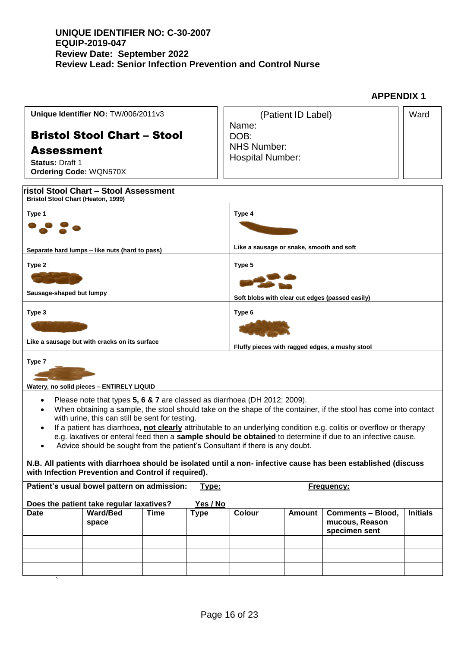**Bristol Stool Chart – Stool Assessment Bristol Stool Chart (Heaton, 1999) Type 1 Separate hard lumps – like nuts (hard to pass) Type 4 Like a sausage or snake, smooth and soft Type 2 Sausage-shaped but lumpy Type 5 Soft blobs with clear cut edges (passed easily) Type 3 Like a sausage but with cracks on its surface Type 6 Fluffy pieces with ragged edges, a mushy stool Type 7 Watery, no solid pieces – ENTIRELY LIQUID Unique Identifier NO:** TW/006/2011v3 Bristol Stool Chart – Stool Assessment **Status:** Draft 1 **Ordering Code:** WQN570X (Patient ID Label) Name: DOB: NHS Number: Hospital Number: **Ward** 

**APPENDIX 1**

- Please note that types **5, 6 & 7** are classed as diarrhoea (DH 2012; 2009).
- When obtaining a sample, the stool should take on the shape of the container, if the stool has come into contact with urine, this can still be sent for testing.
- If a patient has diarrhoea, **not clearly** attributable to an underlying condition e.g. colitis or overflow or therapy e.g. laxatives or enteral feed then a **sample should be obtained** to determine if due to an infective cause.
- Advice should be sought from the patient's Consultant if there is any doubt.

`

#### **N.B. All patients with diarrhoea should be isolated until a non- infective cause has been established (discuss with Infection Prevention and Control if required).**

|      | Patient's usual bowel pattern on admission: |      | <u>Type:</u> |               |               | Frequency:                                                  |                 |
|------|---------------------------------------------|------|--------------|---------------|---------------|-------------------------------------------------------------|-----------------|
|      | Does the patient take regular laxatives?    |      | Yes / No     |               |               |                                                             |                 |
| Date | <b>Ward/Bed</b><br>space                    | Time | Type         | <b>Colour</b> | <b>Amount</b> | <b>Comments - Blood,</b><br>mucous, Reason<br>specimen sent | <b>Initials</b> |
|      |                                             |      |              |               |               |                                                             |                 |
|      |                                             |      |              |               |               |                                                             |                 |
|      |                                             |      |              |               |               |                                                             |                 |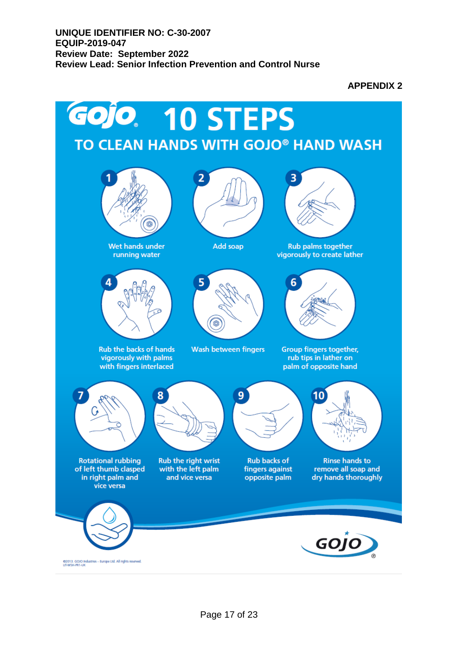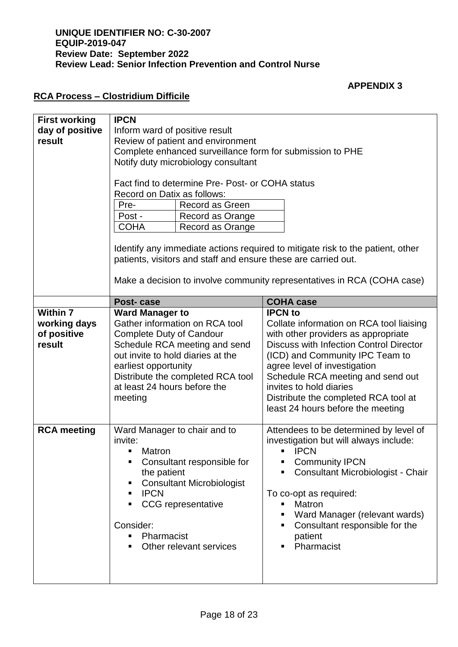### **APPENDIX 3**

## **RCA Process – Clostridium Difficile**

| <b>First working</b><br>day of positive | <b>IPCN</b><br>Inform ward of positive result                                                                                                                                                                               |                                  |                                                                                   |                                         |  |
|-----------------------------------------|-----------------------------------------------------------------------------------------------------------------------------------------------------------------------------------------------------------------------------|----------------------------------|-----------------------------------------------------------------------------------|-----------------------------------------|--|
| result                                  | Review of patient and environment                                                                                                                                                                                           |                                  |                                                                                   |                                         |  |
|                                         | Complete enhanced surveillance form for submission to PHE                                                                                                                                                                   |                                  |                                                                                   |                                         |  |
|                                         | Notify duty microbiology consultant                                                                                                                                                                                         |                                  |                                                                                   |                                         |  |
|                                         | Fact find to determine Pre-Post- or COHA status<br>Record on Datix as follows:                                                                                                                                              |                                  |                                                                                   |                                         |  |
|                                         | Pre-                                                                                                                                                                                                                        | Record as Green                  |                                                                                   |                                         |  |
|                                         | Post -                                                                                                                                                                                                                      | Record as Orange                 |                                                                                   |                                         |  |
|                                         | <b>COHA</b>                                                                                                                                                                                                                 | Record as Orange                 |                                                                                   |                                         |  |
|                                         | Identify any immediate actions required to mitigate risk to the patient, other<br>patients, visitors and staff and ensure these are carried out.<br>Make a decision to involve community representatives in RCA (COHA case) |                                  |                                                                                   |                                         |  |
|                                         |                                                                                                                                                                                                                             |                                  |                                                                                   |                                         |  |
|                                         | Post-case                                                                                                                                                                                                                   |                                  |                                                                                   | <b>COHA case</b>                        |  |
| <b>Within 7</b>                         | <b>Ward Manager to</b>                                                                                                                                                                                                      |                                  |                                                                                   | <b>IPCN</b> to                          |  |
| working days                            | Gather information on RCA tool                                                                                                                                                                                              |                                  | Collate information on RCA tool liaising                                          |                                         |  |
| of positive                             | Complete Duty of Candour                                                                                                                                                                                                    |                                  | with other providers as appropriate                                               |                                         |  |
| result                                  | Schedule RCA meeting and send<br>out invite to hold diaries at the                                                                                                                                                          |                                  | <b>Discuss with Infection Control Director</b><br>(ICD) and Community IPC Team to |                                         |  |
|                                         | earliest opportunity                                                                                                                                                                                                        |                                  | agree level of investigation                                                      |                                         |  |
|                                         | Distribute the completed RCA tool                                                                                                                                                                                           |                                  |                                                                                   | Schedule RCA meeting and send out       |  |
|                                         |                                                                                                                                                                                                                             | at least 24 hours before the     |                                                                                   | invites to hold diaries                 |  |
|                                         | meeting                                                                                                                                                                                                                     |                                  |                                                                                   | Distribute the completed RCA tool at    |  |
|                                         |                                                                                                                                                                                                                             |                                  |                                                                                   | least 24 hours before the meeting       |  |
|                                         |                                                                                                                                                                                                                             |                                  |                                                                                   |                                         |  |
|                                         |                                                                                                                                                                                                                             |                                  |                                                                                   |                                         |  |
| <b>RCA</b> meeting                      | Ward Manager to chair and to                                                                                                                                                                                                |                                  |                                                                                   | Attendees to be determined by level of  |  |
|                                         | invite:                                                                                                                                                                                                                     |                                  |                                                                                   | investigation but will always include:  |  |
|                                         | Matron<br>٠                                                                                                                                                                                                                 |                                  |                                                                                   | <b>IPCN</b>                             |  |
|                                         |                                                                                                                                                                                                                             | Consultant responsible for       | п                                                                                 | <b>Community IPCN</b>                   |  |
|                                         | the patient                                                                                                                                                                                                                 |                                  |                                                                                   | Consultant Microbiologist - Chair       |  |
|                                         | ٠                                                                                                                                                                                                                           | <b>Consultant Microbiologist</b> |                                                                                   |                                         |  |
|                                         | <b>IPCN</b><br>٠                                                                                                                                                                                                            | <b>CCG</b> representative        |                                                                                   | To co-opt as required:<br><b>Matron</b> |  |
|                                         |                                                                                                                                                                                                                             |                                  | ٠                                                                                 | Ward Manager (relevant wards)           |  |
|                                         | Consider:                                                                                                                                                                                                                   |                                  | ٠                                                                                 | Consultant responsible for the          |  |
|                                         | Pharmacist<br>٠                                                                                                                                                                                                             |                                  |                                                                                   | patient                                 |  |
|                                         | ٠                                                                                                                                                                                                                           | Other relevant services          | ٠                                                                                 | Pharmacist                              |  |
|                                         |                                                                                                                                                                                                                             |                                  |                                                                                   |                                         |  |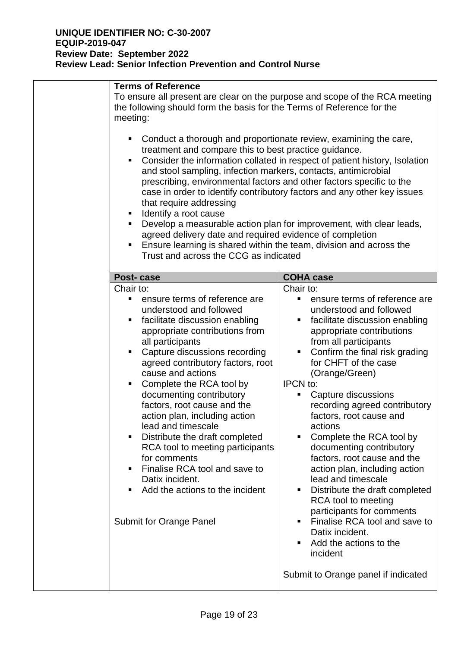| <b>Terms of Reference</b><br>To ensure all present are clear on the purpose and scope of the RCA meeting<br>the following should form the basis for the Terms of Reference for the<br>meeting:                                                                                                                                                                                                                                                                                                                                                                                                                                                                                                                                     |                                                                                                                                                                                                                                                                                                                                                                                                                                                                                                                                                                                                                                                                                                                                    |  |
|------------------------------------------------------------------------------------------------------------------------------------------------------------------------------------------------------------------------------------------------------------------------------------------------------------------------------------------------------------------------------------------------------------------------------------------------------------------------------------------------------------------------------------------------------------------------------------------------------------------------------------------------------------------------------------------------------------------------------------|------------------------------------------------------------------------------------------------------------------------------------------------------------------------------------------------------------------------------------------------------------------------------------------------------------------------------------------------------------------------------------------------------------------------------------------------------------------------------------------------------------------------------------------------------------------------------------------------------------------------------------------------------------------------------------------------------------------------------------|--|
| Conduct a thorough and proportionate review, examining the care,<br>treatment and compare this to best practice guidance.<br>Consider the information collated in respect of patient history, Isolation<br>and stool sampling, infection markers, contacts, antimicrobial<br>prescribing, environmental factors and other factors specific to the<br>case in order to identify contributory factors and any other key issues<br>that require addressing<br>Identify a root cause<br>Develop a measurable action plan for improvement, with clear leads,<br>agreed delivery date and required evidence of completion<br>Ensure learning is shared within the team, division and across the<br>Trust and across the CCG as indicated |                                                                                                                                                                                                                                                                                                                                                                                                                                                                                                                                                                                                                                                                                                                                    |  |
| Post-case                                                                                                                                                                                                                                                                                                                                                                                                                                                                                                                                                                                                                                                                                                                          | <b>COHA case</b>                                                                                                                                                                                                                                                                                                                                                                                                                                                                                                                                                                                                                                                                                                                   |  |
| Chair to:<br>ensure terms of reference are<br>understood and followed<br>facilitate discussion enabling<br>appropriate contributions from<br>all participants<br>Capture discussions recording<br>agreed contributory factors, root<br>cause and actions<br>Complete the RCA tool by<br>documenting contributory<br>factors, root cause and the<br>action plan, including action<br>lead and timescale<br>Distribute the draft completed<br>RCA tool to meeting participants<br>for comments<br>Finalise RCA tool and save to<br>Datix incident.<br>Add the actions to the incident<br><b>Submit for Orange Panel</b>                                                                                                              | Chair to:<br>ensure terms of reference are<br>٠<br>understood and followed<br>facilitate discussion enabling<br>٠<br>appropriate contributions<br>from all participants<br>Confirm the final risk grading<br>Ξ<br>for CHFT of the case<br>(Orange/Green)<br><b>IPCN</b> to:<br>Capture discussions<br>٠<br>recording agreed contributory<br>factors, root cause and<br>actions<br>Complete the RCA tool by<br>П<br>documenting contributory<br>factors, root cause and the<br>action plan, including action<br>lead and timescale<br>Distribute the draft completed<br>ш<br><b>RCA</b> tool to meeting<br>participants for comments<br>Finalise RCA tool and save to<br>٠<br>Datix incident.<br>Add the actions to the<br>incident |  |
|                                                                                                                                                                                                                                                                                                                                                                                                                                                                                                                                                                                                                                                                                                                                    | Submit to Orange panel if indicated                                                                                                                                                                                                                                                                                                                                                                                                                                                                                                                                                                                                                                                                                                |  |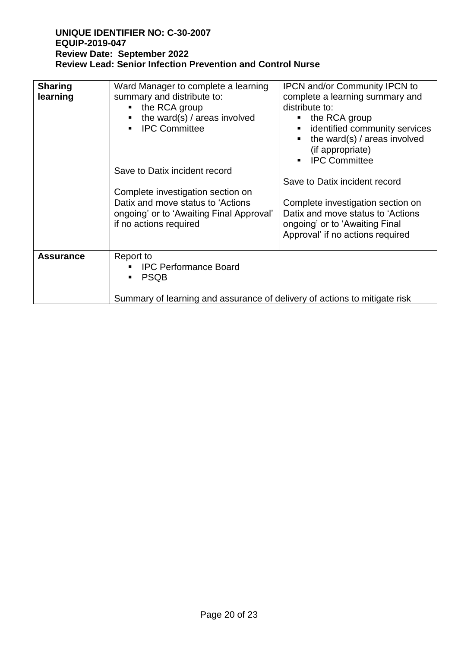| <b>Sharing</b><br>learning | Ward Manager to complete a learning<br>summary and distribute to:<br>the RCA group<br>the ward(s) / areas involved<br><b>IPC Committee</b><br>$\blacksquare$<br>Save to Datix incident record<br>Complete investigation section on<br>Datix and move status to 'Actions'<br>ongoing' or to 'Awaiting Final Approval'<br>if no actions required | <b>IPCN and/or Community IPCN to</b><br>complete a learning summary and<br>distribute to:<br>$\blacksquare$ the RCA group<br>identified community services<br>$\blacksquare$ .<br>the ward(s) / areas involved<br>(if appropriate)<br>• IPC Committee<br>Save to Datix incident record<br>Complete investigation section on<br>Datix and move status to 'Actions<br>ongoing' or to 'Awaiting Final<br>Approval' if no actions required |
|----------------------------|------------------------------------------------------------------------------------------------------------------------------------------------------------------------------------------------------------------------------------------------------------------------------------------------------------------------------------------------|----------------------------------------------------------------------------------------------------------------------------------------------------------------------------------------------------------------------------------------------------------------------------------------------------------------------------------------------------------------------------------------------------------------------------------------|
| <b>Assurance</b>           | Report to<br><b>IPC Performance Board</b><br><b>PSQB</b><br>Summary of learning and assurance of delivery of actions to mitigate risk                                                                                                                                                                                                          |                                                                                                                                                                                                                                                                                                                                                                                                                                        |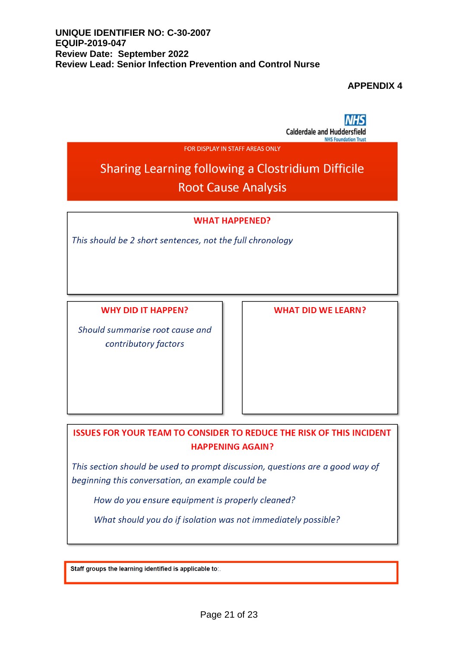#### **APPENDIX 4**

**Calderdale and Huddersfield NHS Foundation Trust** 

FOR DISPLAY IN STAFF AREAS ONLY

## Sharing Learning following a Clostridium Difficile **Root Cause Analysis**

#### **WHAT HAPPENED?**

This should be 2 short sentences, not the full chronology

**WHY DID IT HAPPEN?** 

Should summarise root cause and contributory factors

**WHAT DID WE LEARN?** 

**ISSUES FOR YOUR TEAM TO CONSIDER TO REDUCE THE RISK OF THIS INCIDENT HAPPENING AGAIN?** 

This section should be used to prompt discussion, questions are a good way of beginning this conversation, an example could be

How do you ensure equipment is properly cleaned?

What should you do if isolation was not immediately possible?

Staff groups the learning identified is applicable to:.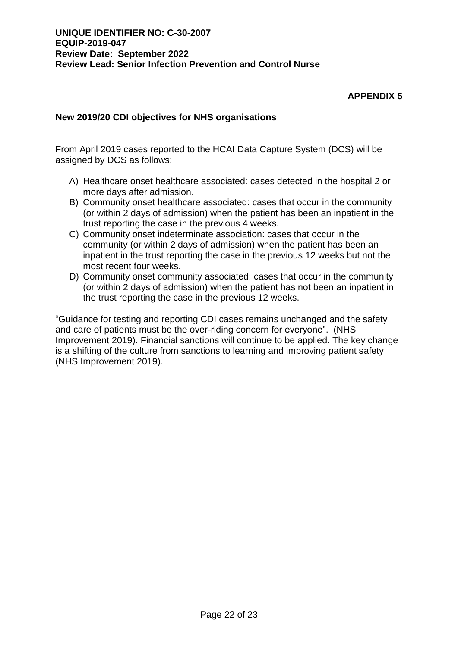## **APPENDIX 5**

#### **New 2019/20 CDI objectives for NHS organisations**

From April 2019 cases reported to the HCAI Data Capture System (DCS) will be assigned by DCS as follows:

- A) Healthcare onset healthcare associated: cases detected in the hospital 2 or more days after admission.
- B) Community onset healthcare associated: cases that occur in the community (or within 2 days of admission) when the patient has been an inpatient in the trust reporting the case in the previous 4 weeks.
- C) Community onset indeterminate association: cases that occur in the community (or within 2 days of admission) when the patient has been an inpatient in the trust reporting the case in the previous 12 weeks but not the most recent four weeks.
- D) Community onset community associated: cases that occur in the community (or within 2 days of admission) when the patient has not been an inpatient in the trust reporting the case in the previous 12 weeks.

"Guidance for testing and reporting CDI cases remains unchanged and the safety and care of patients must be the over-riding concern for everyone". (NHS Improvement 2019). Financial sanctions will continue to be applied. The key change is a shifting of the culture from sanctions to learning and improving patient safety (NHS Improvement 2019).